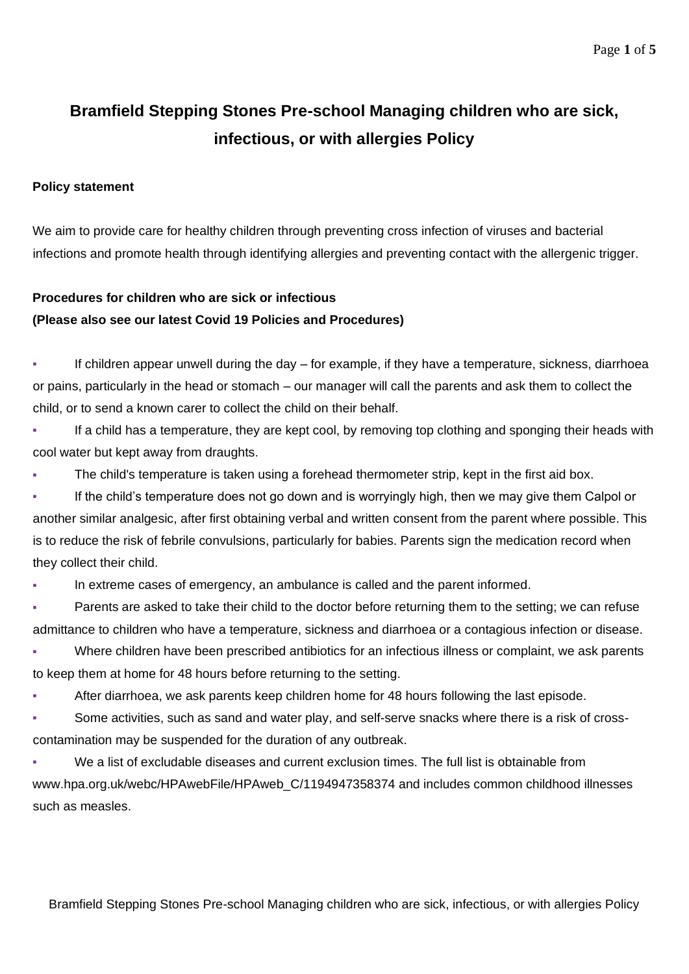# **Bramfield Stepping Stones Pre-school Managing children who are sick, infectious, or with allergies Policy**

#### **Policy statement**

We aim to provide care for healthy children through preventing cross infection of viruses and bacterial infections and promote health through identifying allergies and preventing contact with the allergenic trigger.

## **Procedures for children who are sick or infectious (Please also see our latest Covid 19 Policies and Procedures)**

If children appear unwell during the day – for example, if they have a temperature, sickness, diarrhoea or pains, particularly in the head or stomach – our manager will call the parents and ask them to collect the child, or to send a known carer to collect the child on their behalf.

If a child has a temperature, they are kept cool, by removing top clothing and sponging their heads with cool water but kept away from draughts.

The child's temperature is taken using a forehead thermometer strip, kept in the first aid box.

If the child's temperature does not go down and is worryingly high, then we may give them Calpol or another similar analgesic, after first obtaining verbal and written consent from the parent where possible. This is to reduce the risk of febrile convulsions, particularly for babies. Parents sign the medication record when they collect their child.

In extreme cases of emergency, an ambulance is called and the parent informed.

Parents are asked to take their child to the doctor before returning them to the setting; we can refuse admittance to children who have a temperature, sickness and diarrhoea or a contagious infection or disease.

Where children have been prescribed antibiotics for an infectious illness or complaint, we ask parents to keep them at home for 48 hours before returning to the setting.

After diarrhoea, we ask parents keep children home for 48 hours following the last episode.

Some activities, such as sand and water play, and self-serve snacks where there is a risk of crosscontamination may be suspended for the duration of any outbreak.

We a list of excludable diseases and current exclusion times. The full list is obtainable from www.hpa.org.uk/webc/HPAwebFile/HPAweb C/1194947358374 and includes common childhood illnesses such as measles.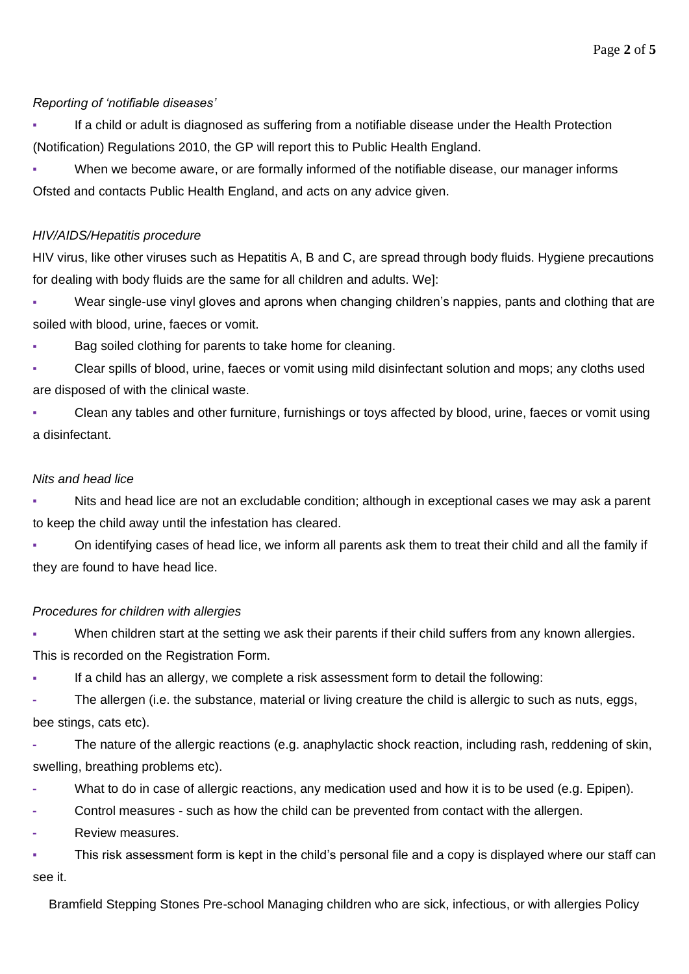### *Reporting of 'notifiable diseases'*

If a child or adult is diagnosed as suffering from a notifiable disease under the Health Protection (Notification) Regulations 2010, the GP will report this to Public Health England.

When we become aware, or are formally informed of the notifiable disease, our manager informs Ofsted and contacts Public Health England, and acts on any advice given.

#### *HIV/AIDS/Hepatitis procedure*

HIV virus, like other viruses such as Hepatitis A, B and C, are spread through body fluids. Hygiene precautions for dealing with body fluids are the same for all children and adults. We]:

Wear single-use vinyl gloves and aprons when changing children's nappies, pants and clothing that are soiled with blood, urine, faeces or vomit.

Bag soiled clothing for parents to take home for cleaning.

Clear spills of blood, urine, faeces or vomit using mild disinfectant solution and mops; any cloths used are disposed of with the clinical waste.

Clean any tables and other furniture, furnishings or toys affected by blood, urine, faeces or vomit using a disinfectant.

#### *Nits and head lice*

Nits and head lice are not an excludable condition; although in exceptional cases we may ask a parent to keep the child away until the infestation has cleared.

On identifying cases of head lice, we inform all parents ask them to treat their child and all the family if they are found to have head lice.

### *Procedures for children with allergies*

When children start at the setting we ask their parents if their child suffers from any known allergies. This is recorded on the Registration Form.

If a child has an allergy, we complete a risk assessment form to detail the following:

**-** The allergen (i.e. the substance, material or living creature the child is allergic to such as nuts, eggs, bee stings, cats etc).

**-** The nature of the allergic reactions (e.g. anaphylactic shock reaction, including rash, reddening of skin, swelling, breathing problems etc).

- **-** What to do in case of allergic reactions, any medication used and how it is to be used (e.g. Epipen).
- **-** Control measures such as how the child can be prevented from contact with the allergen.

**-** Review measures.

This risk assessment form is kept in the child's personal file and a copy is displayed where our staff can see it.

Bramfield Stepping Stones Pre-school Managing children who are sick, infectious, or with allergies Policy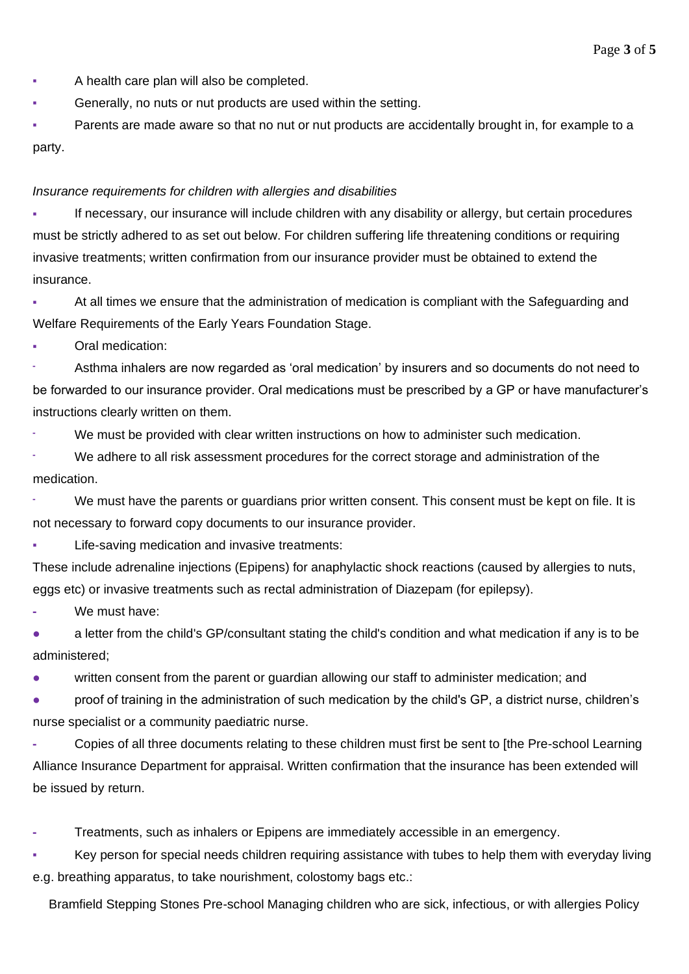- A health care plan will also be completed.
- Generally, no nuts or nut products are used within the setting.

Parents are made aware so that no nut or nut products are accidentally brought in, for example to a party.

#### *Insurance requirements for children with allergies and disabilities*

**▪** If necessary, our insurance will include children with any disability or allergy, but certain procedures must be strictly adhered to as set out below. For children suffering life threatening conditions or requiring invasive treatments; written confirmation from our insurance provider must be obtained to extend the insurance.

At all times we ensure that the administration of medication is compliant with the Safeguarding and Welfare Requirements of the Early Years Foundation Stage.

Oral medication:

**-** Asthma inhalers are now regarded as 'oral medication' by insurers and so documents do not need to be forwarded to our insurance provider. Oral medications must be prescribed by a GP or have manufacturer's instructions clearly written on them.

**-** We must be provided with clear written instructions on how to administer such medication.

**-** We adhere to all risk assessment procedures for the correct storage and administration of the medication.

**-** We must have the parents or guardians prior written consent. This consent must be kept on file. It is not necessary to forward copy documents to our insurance provider.

Life-saving medication and invasive treatments:

These include adrenaline injections (Epipens) for anaphylactic shock reactions (caused by allergies to nuts, eggs etc) or invasive treatments such as rectal administration of Diazepam (for epilepsy).

**-** We must have:

**●** a letter from the child's GP/consultant stating the child's condition and what medication if any is to be administered;

written consent from the parent or guardian allowing our staff to administer medication; and

proof of training in the administration of such medication by the child's GP, a district nurse, children's nurse specialist or a community paediatric nurse.

**-** Copies of all three documents relating to these children must first be sent to [the Pre-school Learning Alliance Insurance Department for appraisal. Written confirmation that the insurance has been extended will be issued by return.

**-** Treatments, such as inhalers or Epipens are immediately accessible in an emergency.

Key person for special needs children requiring assistance with tubes to help them with everyday living e.g. breathing apparatus, to take nourishment, colostomy bags etc.:

Bramfield Stepping Stones Pre-school Managing children who are sick, infectious, or with allergies Policy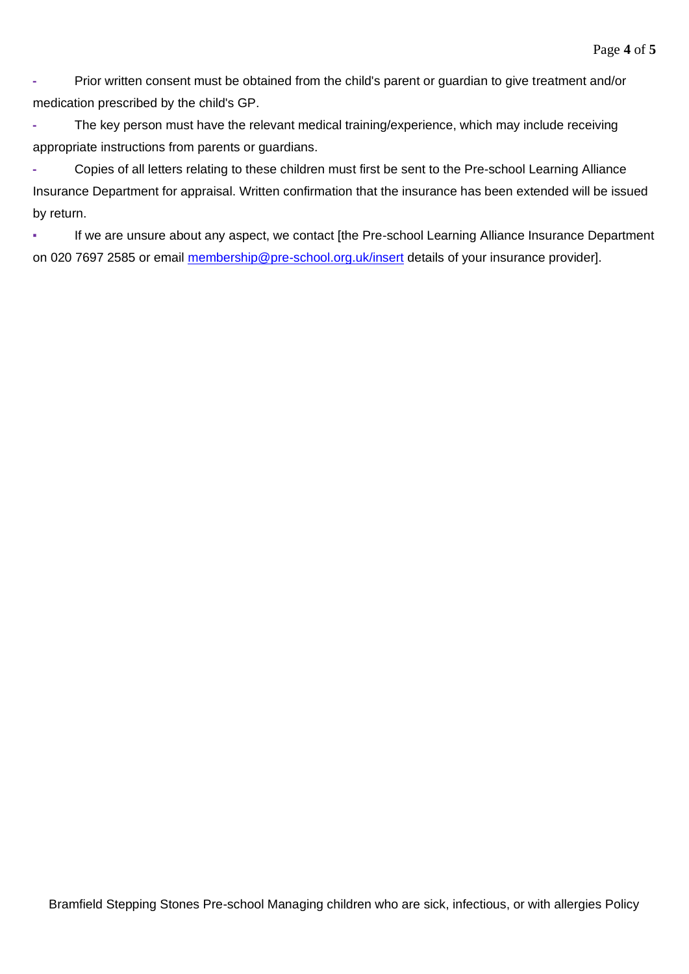**-** Prior written consent must be obtained from the child's parent or guardian to give treatment and/or medication prescribed by the child's GP.

**-** The key person must have the relevant medical training/experience, which may include receiving appropriate instructions from parents or guardians.

**-** Copies of all letters relating to these children must first be sent to the Pre-school Learning Alliance Insurance Department for appraisal. Written confirmation that the insurance has been extended will be issued by return.

**• If we are unsure about any aspect, we contact [the Pre-school Learning Alliance Insurance Department** on 020 7697 2585 or email [membership@pre-school.org.uk/insert](about:blank) details of your insurance provider].